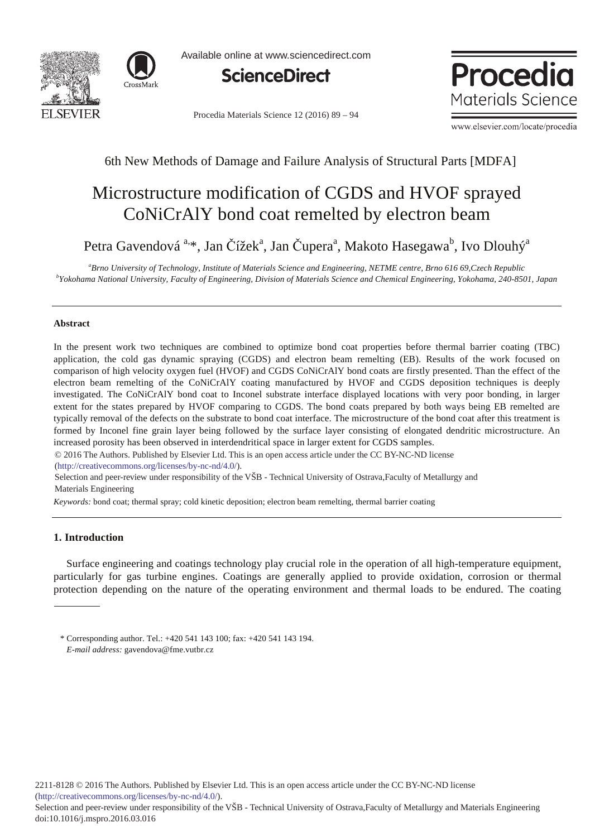



Available online at www.sciencedirect.com



Procedia Materials Science 12 (2016) 89 - 94

**Procedia** Materials Science

www.elsevier.com/locate/procedia

# 6th New Methods of Damage and Failure Analysis of Structural Parts [MDFA]

# Microstructure modification of CGDS and HVOF sprayed CoNiCrAlY bond coat remelted by electron beam

Petra Gavendová<sup>a, \*</sup>, Jan Čížek<sup>a</sup>, Jan Čupera<sup>a</sup>, Makoto Hasegawa<sup>b</sup>, Ivo Dlouhý<sup>a</sup>

<sup>a</sup>Brno University of Technology, Institute of Materials Science and Engineering, NETME centre, Brno 616 69,Czech Republic<br><sup>b</sup>Yokohama Mational University, Easylty of Engineering, Division of Materials Science and Chemical *Yokohama National University, Faculty of Engineering, Division of Materials Science and Chemical Engineering, Yokohama, 240-8501, Japan* 

## **Abstract**

In the present work two techniques are combined to optimize bond coat properties before thermal barrier coating (TBC) application, the cold gas dynamic spraying (CGDS) and electron beam remelting (EB). Results of the work focused on comparison of high velocity oxygen fuel (HVOF) and CGDS CoNiCrAlY bond coats are firstly presented. Than the effect of the electron beam remelting of the CoNiCrAlY coating manufactured by HVOF and CGDS deposition techniques is deeply investigated. The CoNiCrAlY bond coat to Inconel substrate interface displayed locations with very poor bonding, in larger extent for the states prepared by HVOF comparing to CGDS. The bond coats prepared by both ways being EB remelted are typically removal of the defects on the substrate to bond coat interface. The microstructure of the bond coat after this treatment is formed by Inconel fine grain layer being followed by the surface layer consisting of elongated dendritic microstructure. An increased porosity has been observed in interdendritical space in larger extent for CGDS samples.

© 2014 The Authors. Published by Elsevier Ltd. © 2016 The Authors. Published by Elsevier Ltd. This is an open access article under the CC BY-NC-ND license (http://creativecommons.org/licenses/by-nc-nd/4.0/).

Selection and peer-review under responsibility of the VSB - Technical University of Ostrava,Faculty of Metallurgy and Materials Engineering

*Keywords:* bond coat; thermal spray; cold kinetic deposition; electron beam remelting, thermal barrier coating

# **1. Introduction**

Surface engineering and coatings technology play crucial role in the operation of all high-temperature equipment, particularly for gas turbine engines. Coatings are generally applied to provide oxidation, corrosion or thermal protection depending on the nature of the operating environment and thermal loads to be endured. The coating

<sup>\*</sup> Corresponding author. Tel.: +420 541 143 100; fax: +420 541 143 194. *E-mail address:* gavendova@fme.vutbr.cz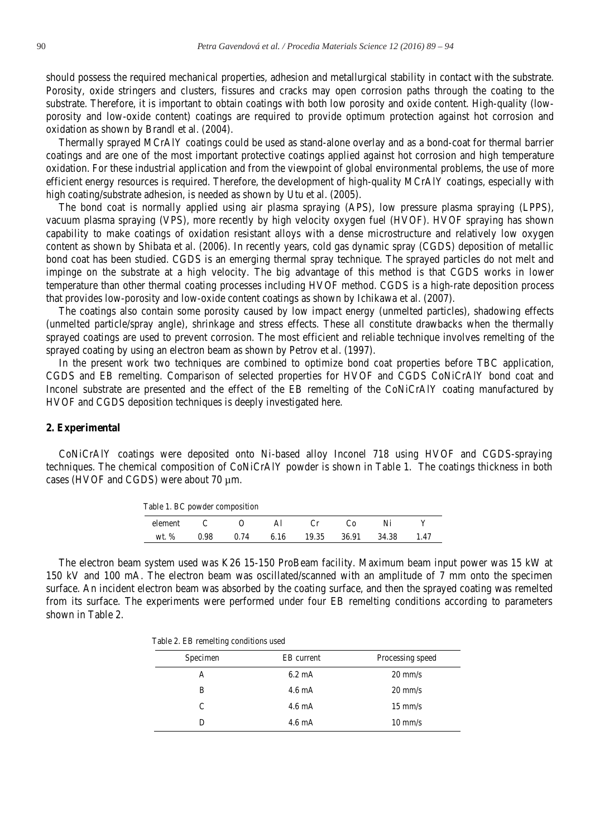should possess the required mechanical properties, adhesion and metallurgical stability in contact with the substrate. Porosity, oxide stringers and clusters, fissures and cracks may open corrosion paths through the coating to the substrate. Therefore, it is important to obtain coatings with both low porosity and oxide content. High-quality (lowporosity and low-oxide content) coatings are required to provide optimum protection against hot corrosion and oxidation as shown by Brandl et al. (2004).

Thermally sprayed MCrAlY coatings could be used as stand-alone overlay and as a bond-coat for thermal barrier coatings and are one of the most important protective coatings applied against hot corrosion and high temperature oxidation. For these industrial application and from the viewpoint of global environmental problems, the use of more efficient energy resources is required. Therefore, the development of high-quality MCrAlY coatings, especially with high coating/substrate adhesion, is needed as shown by Utu et al. (2005).

The bond coat is normally applied using air plasma spraying (APS), low pressure plasma spraying (LPPS), vacuum plasma spraying (VPS), more recently by high velocity oxygen fuel (HVOF). HVOF spraying has shown capability to make coatings of oxidation resistant alloys with a dense microstructure and relatively low oxygen content as shown by Shibata et al. (2006). In recently years, cold gas dynamic spray (CGDS) deposition of metallic bond coat has been studied. CGDS is an emerging thermal spray technique. The sprayed particles do not melt and impinge on the substrate at a high velocity. The big advantage of this method is that CGDS works in lower temperature than other thermal coating processes including HVOF method. CGDS is a high-rate deposition process that provides low-porosity and low-oxide content coatings as shown by Ichikawa et al. (2007).

The coatings also contain some porosity caused by low impact energy (unmelted particles), shadowing effects (unmelted particle/spray angle), shrinkage and stress effects. These all constitute drawbacks when the thermally sprayed coatings are used to prevent corrosion. The most efficient and reliable technique involves remelting of the sprayed coating by using an electron beam as shown by Petrov et al. (1997).

In the present work two techniques are combined to optimize bond coat properties before TBC application, CGDS and EB remelting. Comparison of selected properties for HVOF and CGDS CoNiCrAlY bond coat and Inconel substrate are presented and the effect of the EB remelting of the CoNiCrAlY coating manufactured by HVOF and CGDS deposition techniques is deeply investigated here.

#### **2. Experimental**

CoNiCrAlY coatings were deposited onto Ni-based alloy Inconel 718 using HVOF and CGDS-spraying techniques. The chemical composition of CoNiCrAlY powder is shown in Table 1. The coatings thickness in both cases (HVOF and CGDS) were about 70 µm.

| Table 1. BC powder composition |      |      |      |       |       |       |     |
|--------------------------------|------|------|------|-------|-------|-------|-----|
| element                        |      |      | ΑI   |       | േ     |       |     |
| $wt.$ %                        | 0.98 | 0.74 | 6.16 | 19.35 | 36.91 | 34.38 | 147 |

The electron beam system used was K26 15-150 ProBeam facility. Maximum beam input power was 15 kW at 150 kV and 100 mA. The electron beam was oscillated/scanned with an amplitude of 7 mm onto the specimen surface. An incident electron beam was absorbed by the coating surface, and then the sprayed coating was remelted from its surface. The experiments were performed under four EB remelting conditions according to parameters shown in Table 2.

| Specimen | EB current       | Processing speed  |  |  |
|----------|------------------|-------------------|--|--|
| А        | $6.2 \text{ mA}$ | $20 \text{ mm/s}$ |  |  |
| B        | $4.6 \text{ mA}$ | $20 \text{ mm/s}$ |  |  |
| C        | $4.6 \text{ mA}$ | $15 \text{ mm/s}$ |  |  |
|          | $4.6 \text{ mA}$ | $10 \text{ mm/s}$ |  |  |

Table 2. EB remelting conditions used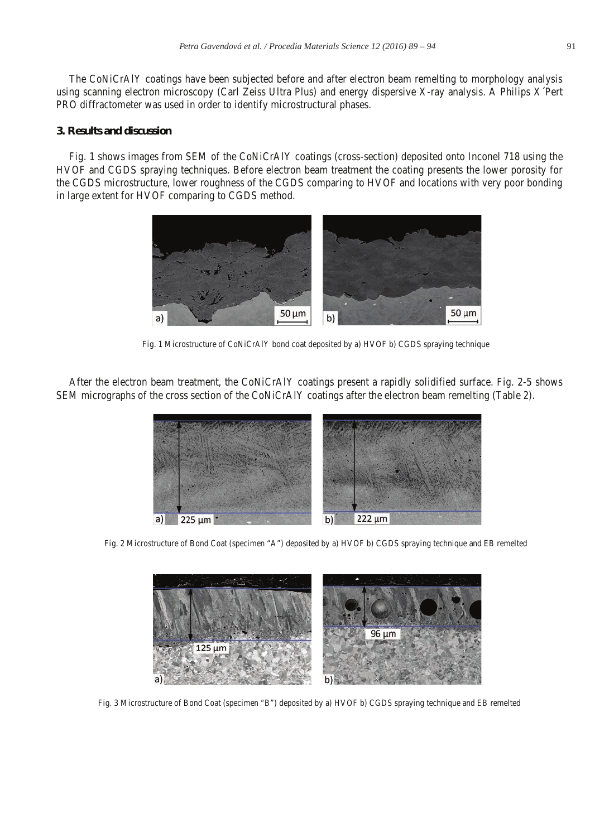The CoNiCrAlY coatings have been subjected before and after electron beam remelting to morphology analysis using scanning electron microscopy (Carl Zeiss Ultra Plus) and energy dispersive X-ray analysis. A Philips X´Pert PRO diffractometer was used in order to identify microstructural phases.

# **3. Results and discussion**

Fig. 1 shows images from SEM of the CoNiCrAlY coatings (cross-section) deposited onto Inconel 718 using the HVOF and CGDS spraying techniques. Before electron beam treatment the coating presents the lower porosity for the CGDS microstructure, lower roughness of the CGDS comparing to HVOF and locations with very poor bonding in large extent for HVOF comparing to CGDS method.



Fig. 1 Microstructure of CoNiCrAlY bond coat deposited by a) HVOF b) CGDS spraying technique

After the electron beam treatment, the CoNiCrAlY coatings present a rapidly solidified surface. Fig. 2-5 shows SEM micrographs of the cross section of the CoNiCrAlY coatings after the electron beam remelting (Table 2).



Fig. 2 Microstructure of Bond Coat (specimen "A") deposited by a) HVOF b) CGDS spraying technique and EB remelted



Fig. 3 Microstructure of Bond Coat (specimen "B") deposited by a) HVOF b) CGDS spraying technique and EB remelted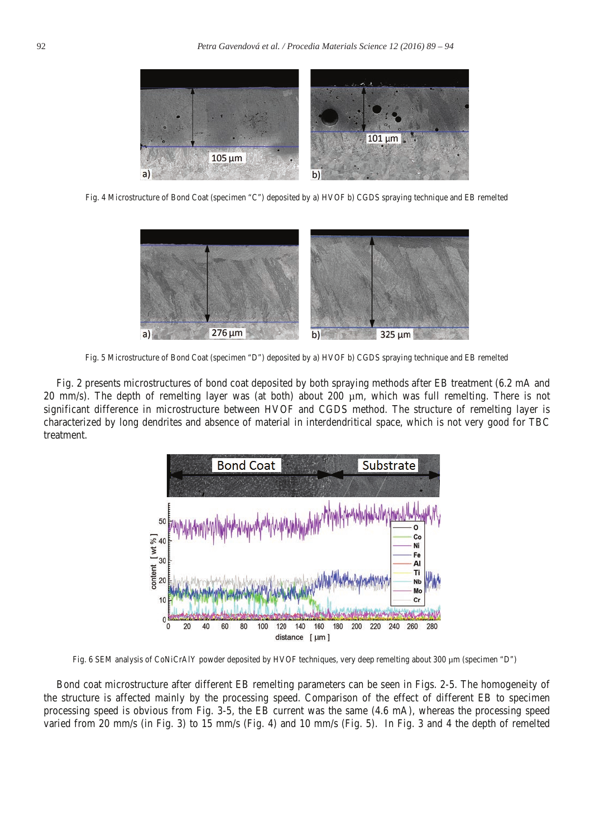

Fig. 4 Microstructure of Bond Coat (specimen "C") deposited by a) HVOF b) CGDS spraying technique and EB remelted



Fig. 5 Microstructure of Bond Coat (specimen "D") deposited by a) HVOF b) CGDS spraying technique and EB remelted

Fig. 2 presents microstructures of bond coat deposited by both spraying methods after EB treatment (6.2 mA and 20 mm/s). The depth of remelting layer was (at both) about 200 µm, which was full remelting. There is not significant difference in microstructure between HVOF and CGDS method. The structure of remelting layer is characterized by long dendrites and absence of material in interdendritical space, which is not very good for TBC treatment.



Fig. 6 SEM analysis of CoNiCrAlY powder deposited by HVOF techniques, very deep remelting about 300 µm (specimen "D")

Bond coat microstructure after different EB remelting parameters can be seen in Figs. 2-5. The homogeneity of the structure is affected mainly by the processing speed. Comparison of the effect of different EB to specimen processing speed is obvious from Fig. 3-5, the EB current was the same (4.6 mA), whereas the processing speed varied from 20 mm/s (in Fig. 3) to 15 mm/s (Fig. 4) and 10 mm/s (Fig. 5). In Fig. 3 and 4 the depth of remelted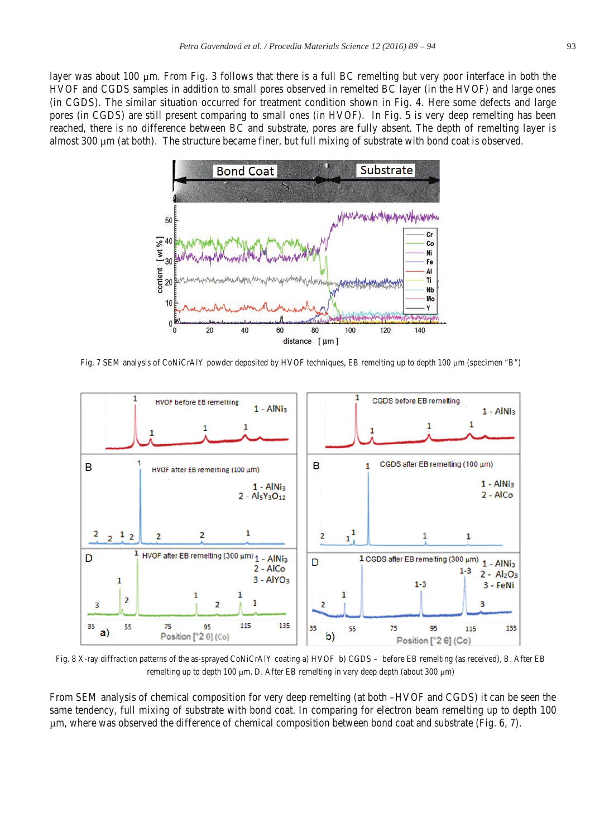layer was about 100 µm. From Fig. 3 follows that there is a full BC remelting but very poor interface in both the HVOF and CGDS samples in addition to small pores observed in remelted BC layer (in the HVOF) and large ones (in CGDS). The similar situation occurred for treatment condition shown in Fig. 4. Here some defects and large pores (in CGDS) are still present comparing to small ones (in HVOF). In Fig. 5 is very deep remelting has been reached, there is no difference between BC and substrate, pores are fully absent. The depth of remelting layer is almost 300 µm (at both). The structure became finer, but full mixing of substrate with bond coat is observed.



Fig. 7 SEM analysis of CoNiCrAlY powder deposited by HVOF techniques, EB remelting up to depth 100 µm (specimen "B")



Fig. 8 X-ray diffraction patterns of the as-sprayed CoNiCrAlY coating a) HVOF b) CGDS – before EB remelting (as received), B. After EB remelting up to depth 100 µm, D. After EB remelting in very deep depth (about 300 µm)

From SEM analysis of chemical composition for very deep remelting (at both –HVOF and CGDS) it can be seen the same tendency, full mixing of substrate with bond coat. In comparing for electron beam remelting up to depth 100 µm, where was observed the difference of chemical composition between bond coat and substrate (Fig. 6, 7).